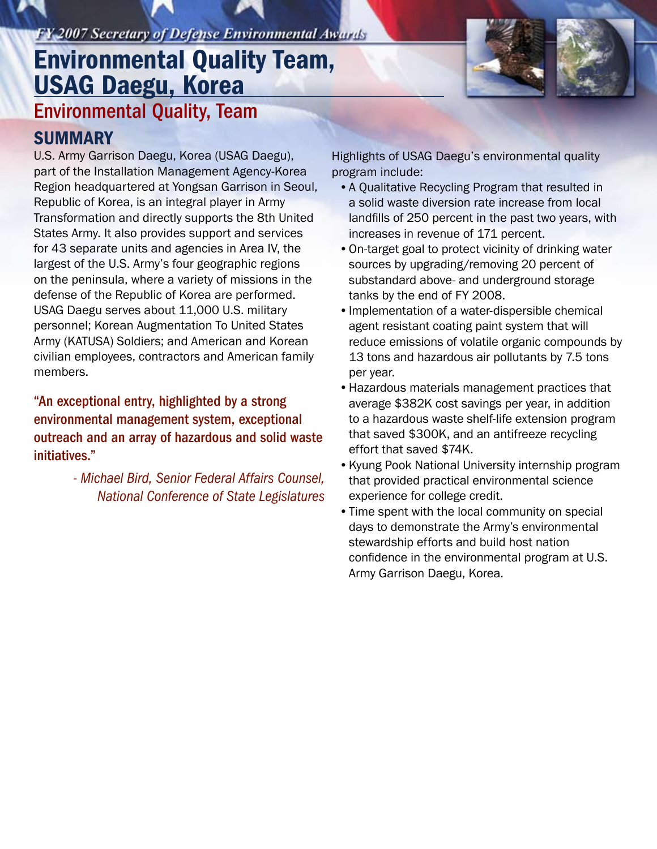## **FY 2007 Secretary of Defense Environmental Awards**

# Environmental Quality, Team Environmental Quality Team, USAG Daegu, Korea

### **SUMMARY**

U.S. Army Garrison Daegu, Korea (USAG Daegu), part of the Installation Management Agency-Korea Region headquartered at Yongsan Garrison in Seoul, Republic of Korea, is an integral player in Army Transformation and directly supports the 8th United States Army. It also provides support and services for 43 separate units and agencies in Area IV, the largest of the U.S. Army's four geographic regions on the peninsula, where a variety of missions in the defense of the Republic of Korea are performed. USAG Daegu serves about 11,000 U.S. military personnel; Korean Augmentation To United States Army (KATUSA) Soldiers; and American and Korean civilian employees, contractors and American family members.

"An exceptional entry, highlighted by a strong environmental management system, exceptional outreach and an array of hazardous and solid waste initiatives."

> *- Michael Bird, Senior Federal Affairs Counsel, National Conference of State Legislatures*

Highlights of USAG Daegu's environmental quality program include:

- A Qualitative Recycling Program that resulted in a solid waste diversion rate increase from local landfills of 250 percent in the past two years, with increases in revenue of 171 percent.
- On-target goal to protect vicinity of drinking water sources by upgrading/removing 20 percent of substandard above- and underground storage tanks by the end of FY 2008.
- Implementation of a water-dispersible chemical agent resistant coating paint system that will reduce emissions of volatile organic compounds by 13 tons and hazardous air pollutants by 7.5 tons per year.
- Hazardous materials management practices that average \$382K cost savings per year, in addition to a hazardous waste shelf-life extension program that saved \$300K, and an antifreeze recycling effort that saved \$74K.
- Kyung Pook National University internship program that provided practical environmental science experience for college credit.
- Time spent with the local community on special days to demonstrate the Army's environmental stewardship efforts and build host nation confidence in the environmental program at U.S. Army Garrison Daegu, Korea.

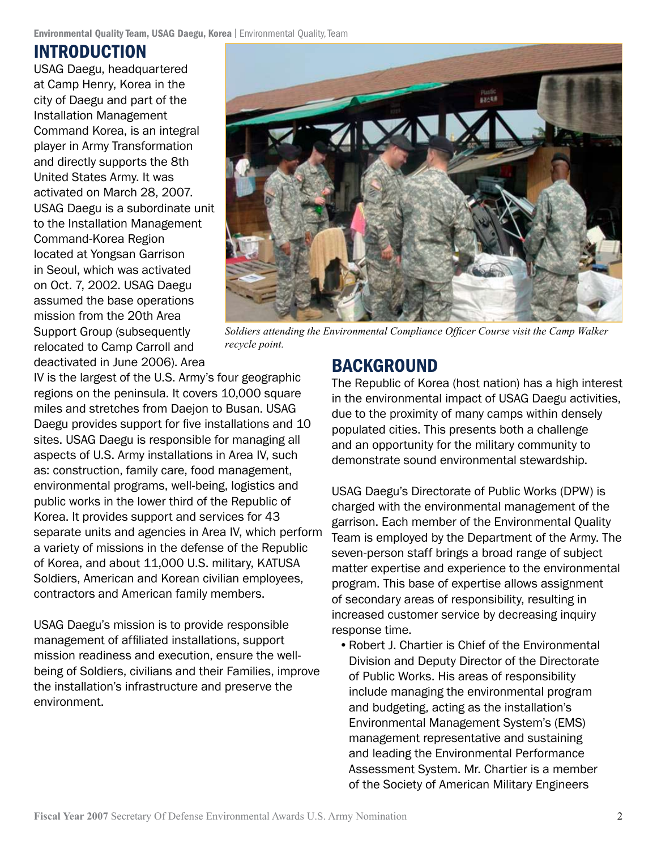### INTRODUCTION

USAG Daegu, headquartered at Camp Henry, Korea in the city of Daegu and part of the Installation Management Command Korea, is an integral player in Army Transformation and directly supports the 8th United States Army. It was activated on March 28, 2007. USAG Daegu is a subordinate unit to the Installation Management Command-Korea Region located at Yongsan Garrison in Seoul, which was activated on Oct. 7, 2002. USAG Daegu assumed the base operations mission from the 20th Area Support Group (subsequently relocated to Camp Carroll and deactivated in June 2006). Area



*Soldiers attending the Environmental Compliance Officer Course visit the Camp Walker recycle point.*

IV is the largest of the U.S. Army's four geographic regions on the peninsula. It covers 10,000 square miles and stretches from Daejon to Busan. USAG Daegu provides support for five installations and 10 sites. USAG Daegu is responsible for managing all aspects of U.S. Army installations in Area IV, such as: construction, family care, food management, environmental programs, well-being, logistics and public works in the lower third of the Republic of Korea. It provides support and services for 43 separate units and agencies in Area IV, which perform a variety of missions in the defense of the Republic of Korea, and about 11,000 U.S. military, KATUSA Soldiers, American and Korean civilian employees, contractors and American family members.

USAG Daegu's mission is to provide responsible management of affiliated installations, support mission readiness and execution, ensure the wellbeing of Soldiers, civilians and their Families, improve the installation's infrastructure and preserve the environment.

### BACKGROUND

The Republic of Korea (host nation) has a high interest in the environmental impact of USAG Daegu activities, due to the proximity of many camps within densely populated cities. This presents both a challenge and an opportunity for the military community to demonstrate sound environmental stewardship.

USAG Daegu's Directorate of Public Works (DPW) is charged with the environmental management of the garrison. Each member of the Environmental Quality Team is employed by the Department of the Army. The seven-person staff brings a broad range of subject matter expertise and experience to the environmental program. This base of expertise allows assignment of secondary areas of responsibility, resulting in increased customer service by decreasing inquiry response time.

• Robert J. Chartier is Chief of the Environmental Division and Deputy Director of the Directorate of Public Works. His areas of responsibility include managing the environmental program and budgeting, acting as the installation's Environmental Management System's (EMS) management representative and sustaining and leading the Environmental Performance Assessment System. Mr. Chartier is a member of the Society of American Military Engineers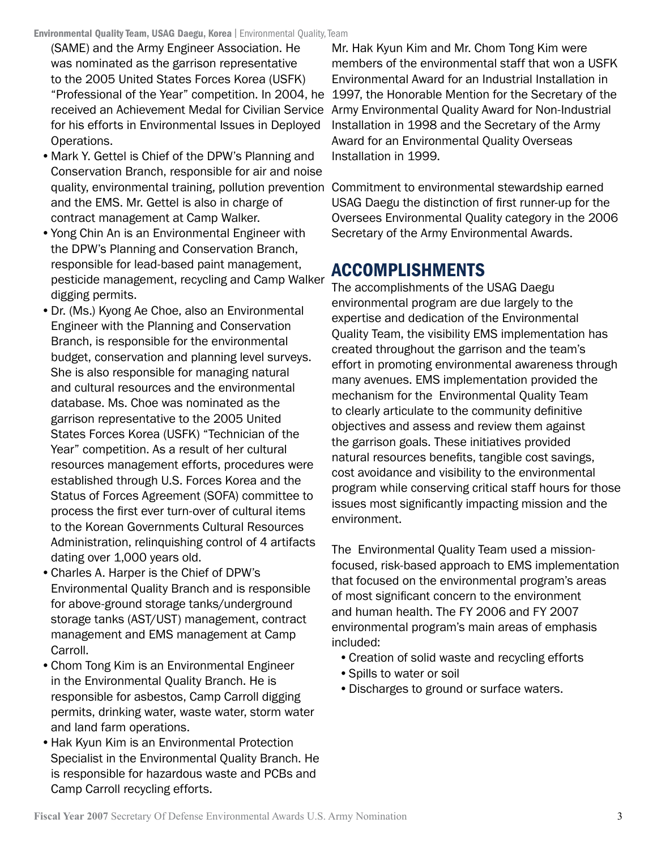(SAME) and the Army Engineer Association. He was nominated as the garrison representative to the 2005 United States Forces Korea (USFK) "Professional of the Year" competition. In 2004, he for his efforts in Environmental Issues in Deployed Operations.

- Mark Y. Gettel is Chief of the DPW's Planning and Conservation Branch, responsible for air and noise and the EMS. Mr. Gettel is also in charge of contract management at Camp Walker.
- Yong Chin An is an Environmental Engineer with the DPW's Planning and Conservation Branch, responsible for lead-based paint management, pesticide management, recycling and Camp Walker digging permits.
- Dr. (Ms.) Kyong Ae Choe, also an Environmental Engineer with the Planning and Conservation Branch, is responsible for the environmental budget, conservation and planning level surveys. She is also responsible for managing natural and cultural resources and the environmental database. Ms. Choe was nominated as the garrison representative to the 2005 United States Forces Korea (USFK) "Technician of the Year" competition. As a result of her cultural resources management efforts, procedures were established through U.S. Forces Korea and the Status of Forces Agreement (SOFA) committee to process the first ever turn-over of cultural items to the Korean Governments Cultural Resources Administration, relinquishing control of 4 artifacts dating over 1,000 years old.
- • Charles A. Harper is the Chief of DPW's Environmental Quality Branch and is responsible for above-ground storage tanks/underground storage tanks (AST/UST) management, contract management and EMS management at Camp Carroll.
- Chom Tong Kim is an Environmental Engineer in the Environmental Quality Branch. He is responsible for asbestos, Camp Carroll digging permits, drinking water, waste water, storm water and land farm operations.
- Hak Kyun Kim is an Environmental Protection Specialist in the Environmental Quality Branch. He is responsible for hazardous waste and PCBs and Camp Carroll recycling efforts.

received an Achievement Medal for Civilian Service Army Environmental Quality Award for Non-Industrial Mr. Hak Kyun Kim and Mr. Chom Tong Kim were members of the environmental staff that won a USFK Environmental Award for an Industrial Installation in 1997, the Honorable Mention for the Secretary of the Installation in 1998 and the Secretary of the Army Award for an Environmental Quality Overseas Installation in 1999.

quality, environmental training, pollution prevention Commitment to environmental stewardship earned USAG Daegu the distinction of first runner-up for the Oversees Environmental Quality category in the 2006 Secretary of the Army Environmental Awards.

# ACCOMPLISHMENTS

The accomplishments of the USAG Daegu environmental program are due largely to the expertise and dedication of the Environmental Quality Team, the visibility EMS implementation has created throughout the garrison and the team's effort in promoting environmental awareness through many avenues. EMS implementation provided the mechanism for the Environmental Quality Team to clearly articulate to the community definitive objectives and assess and review them against the garrison goals. These initiatives provided natural resources benefits, tangible cost savings, cost avoidance and visibility to the environmental program while conserving critical staff hours for those issues most significantly impacting mission and the environment.

The Environmental Quality Team used a missionfocused, risk-based approach to EMS implementation that focused on the environmental program's areas of most significant concern to the environment and human health. The FY 2006 and FY 2007 environmental program's main areas of emphasis included:

- Creation of solid waste and recycling efforts
- • Spills to water or soil
- • Discharges to ground or surface waters.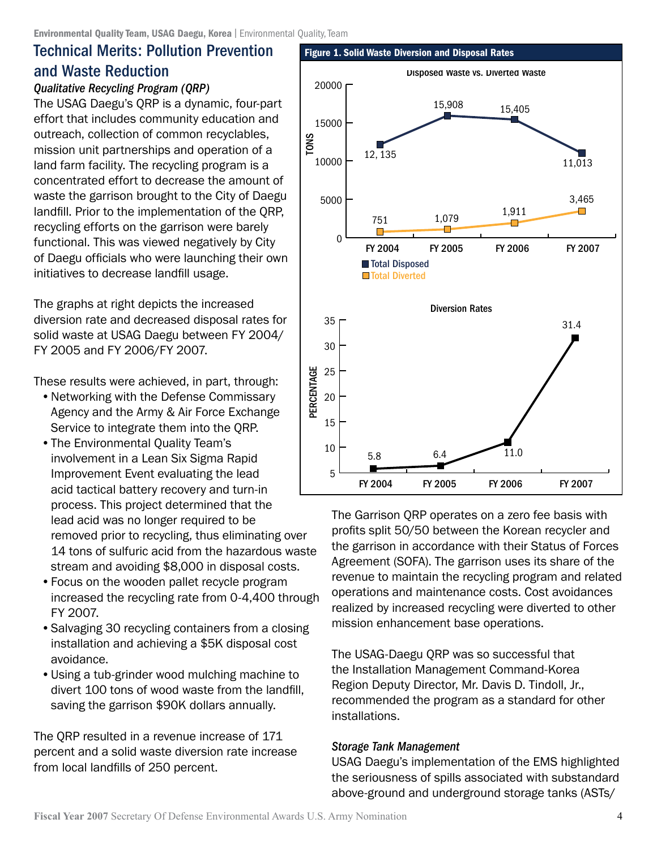### Technical Merits: Pollution Prevention and Waste Reduction

#### *Qualitative Recycling Program (QRP)*

The USAG Daegu's QRP is a dynamic, four-part effort that includes community education and outreach, collection of common recyclables, mission unit partnerships and operation of a land farm facility. The recycling program is a concentrated effort to decrease the amount of waste the garrison brought to the City of Daegu landfill. Prior to the implementation of the QRP, recycling efforts on the garrison were barely functional. This was viewed negatively by City of Daegu officials who were launching their own initiatives to decrease landfill usage.

The graphs at right depicts the increased diversion rate and decreased disposal rates for solid waste at USAG Daegu between FY 2004/ FY 2005 and FY 2006/FY 2007.

These results were achieved, in part, through:

- Networking with the Defense Commissary Agency and the Army & Air Force Exchange Service to integrate them into the QRP.
- The Environmental Quality Team's involvement in a Lean Six Sigma Rapid Improvement Event evaluating the lead acid tactical battery recovery and turn-in process. This project determined that the lead acid was no longer required to be removed prior to recycling, thus eliminating over 14 tons of sulfuric acid from the hazardous waste stream and avoiding \$8,000 in disposal costs.
- Focus on the wooden pallet recycle program increased the recycling rate from 0-4,400 through FY 2007.
- Salvaging 30 recycling containers from a closing installation and achieving a \$5K disposal cost avoidance.
- Using a tub-grinder wood mulching machine to divert 100 tons of wood waste from the landfill, saving the garrison \$90K dollars annually.

The QRP resulted in a revenue increase of 171 percent and a solid waste diversion rate increase from local landfills of 250 percent.



The Garrison QRP operates on a zero fee basis with profits split 50/50 between the Korean recycler and the garrison in accordance with their Status of Forces Agreement (SOFA). The garrison uses its share of the revenue to maintain the recycling program and related operations and maintenance costs. Cost avoidances realized by increased recycling were diverted to other mission enhancement base operations.

The USAG-Daegu QRP was so successful that the Installation Management Command-Korea Region Deputy Director, Mr. Davis D. Tindoll, Jr., recommended the program as a standard for other installations.

#### *Storage Tank Management*

USAG Daegu's implementation of the EMS highlighted the seriousness of spills associated with substandard above-ground and underground storage tanks (ASTs/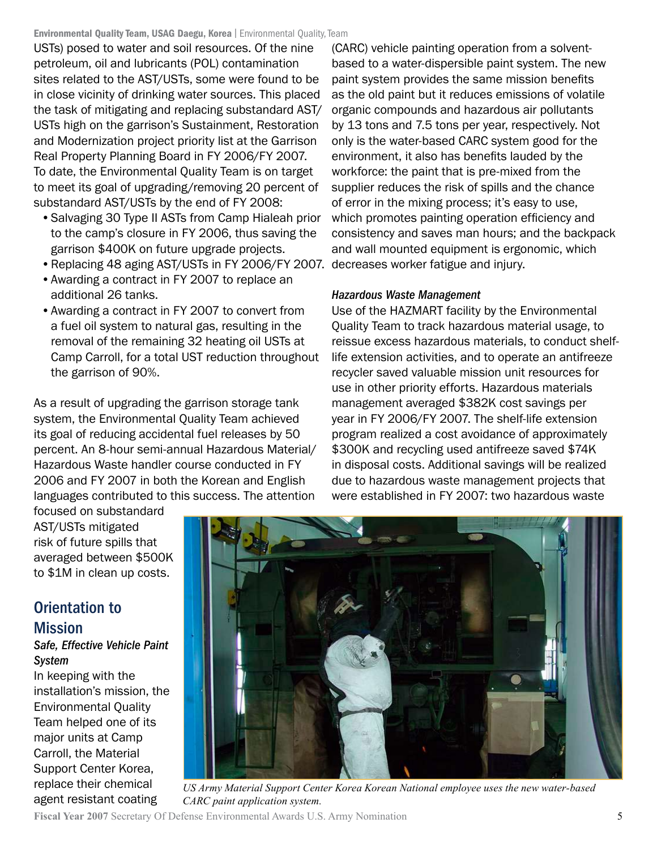Environmental Quality Team, USAG Daegu, Korea | Environmental Quality, Team

USTs) posed to water and soil resources. Of the nine petroleum, oil and lubricants (POL) contamination sites related to the AST/USTs, some were found to be in close vicinity of drinking water sources. This placed the task of mitigating and replacing substandard AST/ USTs high on the garrison's Sustainment, Restoration and Modernization project priority list at the Garrison Real Property Planning Board in FY 2006/FY 2007. To date, the Environmental Quality Team is on target to meet its goal of upgrading/removing 20 percent of substandard AST/USTs by the end of FY 2008:

- Salvaging 30 Type II ASTs from Camp Hialeah prior to the camp's closure in FY 2006, thus saving the garrison \$400K on future upgrade projects.
- Replacing 48 aging AST/USTs in FY 2006/FY 2007. decreases worker fatigue and injury.
- Awarding a contract in FY 2007 to replace an additional 26 tanks.
- Awarding a contract in FY 2007 to convert from a fuel oil system to natural gas, resulting in the removal of the remaining 32 heating oil USTs at Camp Carroll, for a total UST reduction throughout the garrison of 90%.

As a result of upgrading the garrison storage tank system, the Environmental Quality Team achieved its goal of reducing accidental fuel releases by 50 percent. An 8-hour semi-annual Hazardous Material/ Hazardous Waste handler course conducted in FY 2006 and FY 2007 in both the Korean and English languages contributed to this success. The attention

(CARC) vehicle painting operation from a solventbased to a water-dispersible paint system. The new paint system provides the same mission benefits as the old paint but it reduces emissions of volatile organic compounds and hazardous air pollutants by 13 tons and 7.5 tons per year, respectively. Not only is the water-based CARC system good for the environment, it also has benefits lauded by the workforce: the paint that is pre-mixed from the supplier reduces the risk of spills and the chance of error in the mixing process; it's easy to use, which promotes painting operation efficiency and consistency and saves man hours; and the backpack and wall mounted equipment is ergonomic, which

#### *Hazardous Waste Management*

Use of the HAZMART facility by the Environmental Quality Team to track hazardous material usage, to reissue excess hazardous materials, to conduct shelflife extension activities, and to operate an antifreeze recycler saved valuable mission unit resources for use in other priority efforts. Hazardous materials management averaged \$382K cost savings per year in FY 2006/FY 2007. The shelf-life extension program realized a cost avoidance of approximately \$300K and recycling used antifreeze saved \$74K in disposal costs. Additional savings will be realized due to hazardous waste management projects that were established in FY 2007: two hazardous waste

focused on substandard AST/USTs mitigated risk of future spills that averaged between \$500K to \$1M in clean up costs.

### Orientation to Mission

#### *Safe, Effective Vehicle Paint System*

In keeping with the installation's mission, the Environmental Quality Team helped one of its major units at Camp Carroll, the Material Support Center Korea, replace their chemical agent resistant coating



*US Army Material Support Center Korea Korean National employee uses the new water-based CARC paint application system.*

**Fiscal Year 2007** Secretary Of Defense Environmental Awards U.S. Army Nomination 5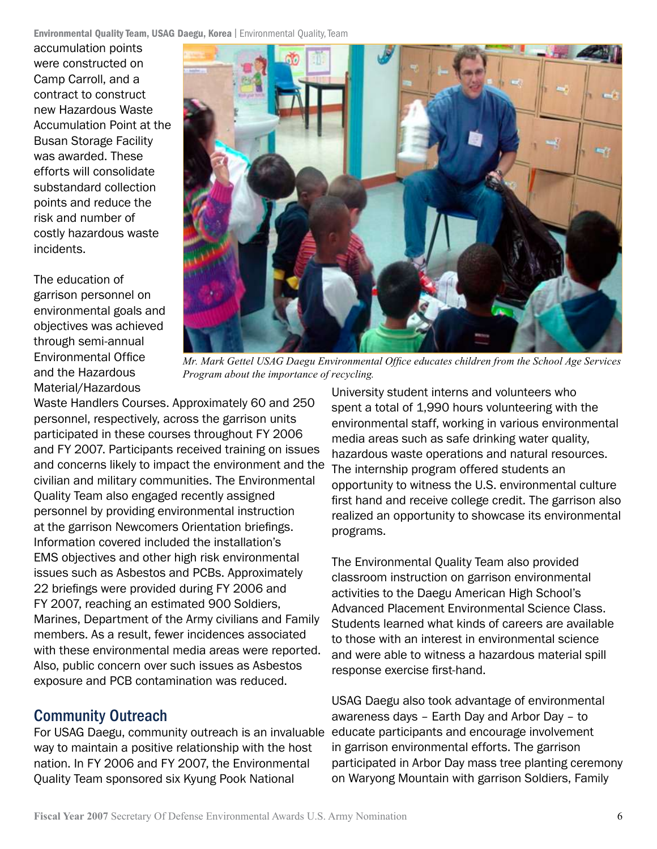**Environmental Quality Team, USAG Daegu, Korea** | Environmental Quality, Team

accumulation points were constructed on Camp Carroll, and a contract to construct new Hazardous Waste Accumulation Point at the Busan Storage Facility was awarded. These efforts will consolidate substandard collection points and reduce the risk and number of costly hazardous waste incidents.

The education of garrison personnel on environmental goals and objectives was achieved through semi-annual Environmental Office and the Hazardous Material/Hazardous



*Mr. Mark Gettel USAG Daegu Environmental Office educates children from the School Age Services Program about the importance of recycling.*

Waste Handlers Courses. Approximately 60 and 250 personnel, respectively, across the garrison units participated in these courses throughout FY 2006 and FY 2007. Participants received training on issues and concerns likely to impact the environment and the civilian and military communities. The Environmental Quality Team also engaged recently assigned personnel by providing environmental instruction at the garrison Newcomers Orientation briefings. Information covered included the installation's EMS objectives and other high risk environmental issues such as Asbestos and PCBs. Approximately 22 briefings were provided during FY 2006 and FY 2007, reaching an estimated 900 Soldiers, Marines, Department of the Army civilians and Family members. As a result, fewer incidences associated with these environmental media areas were reported. Also, public concern over such issues as Asbestos exposure and PCB contamination was reduced.

### Community Outreach

For USAG Daegu, community outreach is an invaluable educate participants and encourage involvement way to maintain a positive relationship with the host nation. In FY 2006 and FY 2007, the Environmental Quality Team sponsored six Kyung Pook National

University student interns and volunteers who spent a total of 1,990 hours volunteering with the environmental staff, working in various environmental media areas such as safe drinking water quality, hazardous waste operations and natural resources. The internship program offered students an opportunity to witness the U.S. environmental culture first hand and receive college credit. The garrison also realized an opportunity to showcase its environmental programs.

The Environmental Quality Team also provided classroom instruction on garrison environmental activities to the Daegu American High School's Advanced Placement Environmental Science Class. Students learned what kinds of careers are available to those with an interest in environmental science and were able to witness a hazardous material spill response exercise first-hand.

USAG Daegu also took advantage of environmental awareness days – Earth Day and Arbor Day – to in garrison environmental efforts. The garrison participated in Arbor Day mass tree planting ceremony on Waryong Mountain with garrison Soldiers, Family